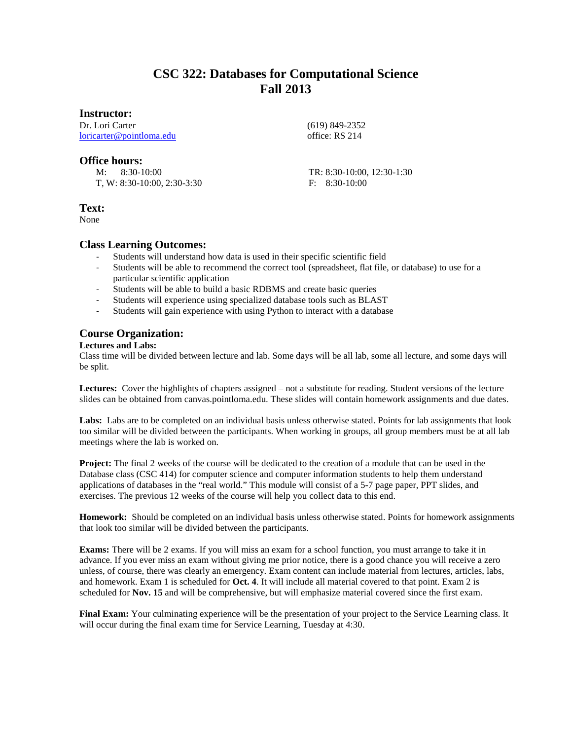# **CSC 322: Databases for Computational Science Fall 2013**

## **Instructor:**

Dr. Lori Carter [loricarter@pointloma.edu](mailto:loricarter@pointloma.edu)

## **Office hours:**

 M: 8:30-10:00 T, W: 8:30-10:00, 2:30-3:30  (619) 849-2352 office: RS 214

TR: 8:30-10:00, 12:30-1:30 F: 8:30-10:00

# **Text:**

None

# **Class Learning Outcomes:**

- Students will understand how data is used in their specific scientific field
- Students will be able to recommend the correct tool (spreadsheet, flat file, or database) to use for a particular scientific application
- Students will be able to build a basic RDBMS and create basic queries
- Students will experience using specialized database tools such as BLAST
- Students will gain experience with using Python to interact with a database

# **Course Organization:**

## **Lectures and Labs:**

Class time will be divided between lecture and lab. Some days will be all lab, some all lecture, and some days will be split.

**Lectures:** Cover the highlights of chapters assigned – not a substitute for reading. Student versions of the lecture slides can be obtained from canvas.pointloma.edu. These slides will contain homework assignments and due dates.

Labs: Labs are to be completed on an individual basis unless otherwise stated. Points for lab assignments that look too similar will be divided between the participants. When working in groups, all group members must be at all lab meetings where the lab is worked on.

**Project:** The final 2 weeks of the course will be dedicated to the creation of a module that can be used in the Database class (CSC 414) for computer science and computer information students to help them understand applications of databases in the "real world." This module will consist of a 5-7 page paper, PPT slides, and exercises. The previous 12 weeks of the course will help you collect data to this end.

**Homework:** Should be completed on an individual basis unless otherwise stated. Points for homework assignments that look too similar will be divided between the participants.

**Exams:** There will be 2 exams. If you will miss an exam for a school function, you must arrange to take it in advance. If you ever miss an exam without giving me prior notice, there is a good chance you will receive a zero unless, of course, there was clearly an emergency. Exam content can include material from lectures, articles, labs, and homework. Exam 1 is scheduled for **Oct. 4**. It will include all material covered to that point. Exam 2 is scheduled for **Nov. 15** and will be comprehensive, but will emphasize material covered since the first exam.

**Final Exam:** Your culminating experience will be the presentation of your project to the Service Learning class. It will occur during the final exam time for Service Learning, Tuesday at 4:30.